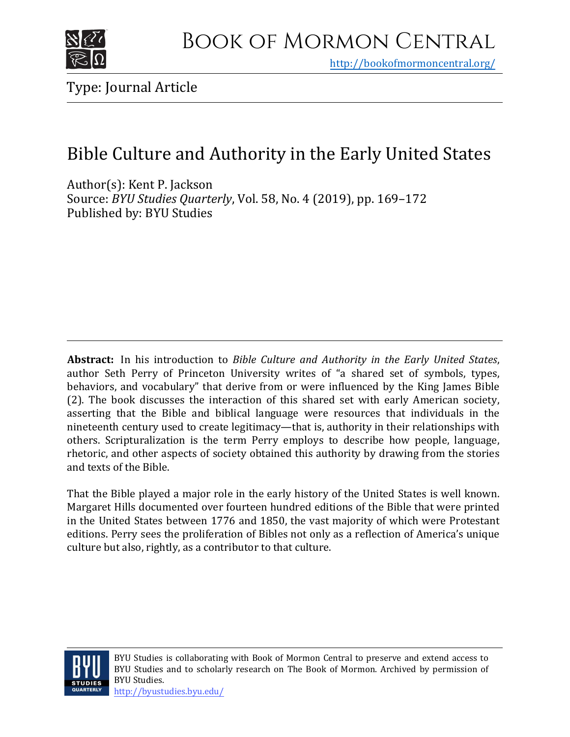

<http://bookofmormoncentral.org/>

## Bible Culture and Authority in the Early United States

Author(s): Kent P. Jackson Source: *BYU Studies Quarterly*[, Vol.](http://bookofmormoncentral.org/) 58, No. 4 (2019), pp. 169–172 Published by: BYU Studies

**Abstract:** In his introduction to *Bible Culture and Authority in the Early United States*, author Seth Perry of Princeton University writes of "a shared set of symbols, types, behaviors, and vocabulary" that derive from or were influenced by the King James Bible (2). The book discusses the interaction of this shared set with early American society, asserting that the Bible and biblical language were resources that individuals in the nineteenth century used to create legitimacy—that is, authority in their relationships with others. Scripturalization is the term Perry employs to describe how people, language, rhetoric, and other aspects of society obtained this authority by drawing from the stories and texts of the Bible.

That the Bible played a major role in the early history of the United States is well known. Margaret Hills documented over fourteen hundred editions of the Bible that were printed in the United States between 1776 and 1850, the vast majority of which were Protestant editions. Perry sees the proliferation of Bibles not only as a reflection of America's unique culture but also, rightly, as a contributor to that culture.

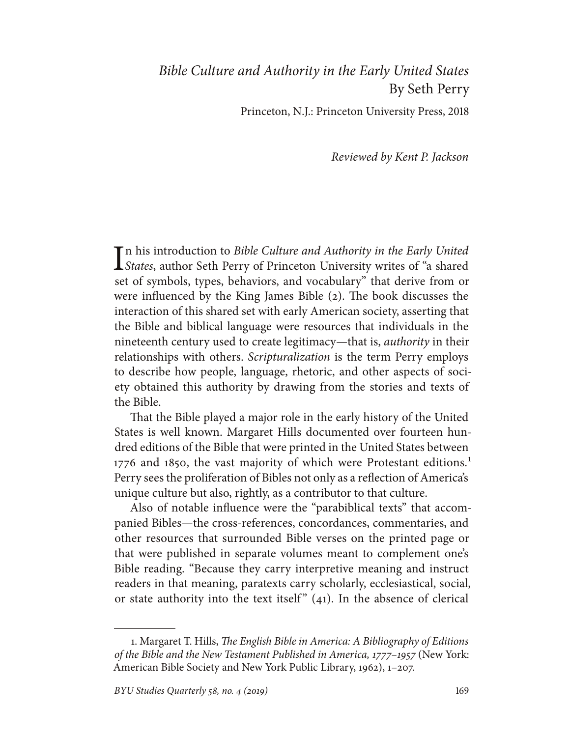## *Bible Culture and Authority in the Early United States* By Seth Perry

Princeton, N.J.: Princeton University Press, 2018

*Reviewed by Kent P. Jackson*

In his introduction to *Bible Culture and Authority in the Early United* States, author Seth Perry of Princeton University writes of "a shared *States*, author Seth Perry of Princeton University writes of "a shared set of symbols, types, behaviors, and vocabulary" that derive from or were influenced by the King James Bible (2). The book discusses the interaction of this shared set with early American society, asserting that the Bible and biblical language were resources that individuals in the nineteenth century used to create legitimacy—that is, *authority* in their relationships with others. *Scripturalization* is the term Perry employs to describe how people, language, rhetoric, and other aspects of society obtained this authority by drawing from the stories and texts of the Bible.

That the Bible played a major role in the early history of the United States is well known. Margaret Hills documented over fourteen hundred editions of the Bible that were printed in the United States between 1776 and 1850, the vast majority of which were Protestant editions.<sup>1</sup> Perry sees the proliferation of Bibles not only as a reflection of America's unique culture but also, rightly, as a contributor to that culture.

Also of notable influence were the "parabiblical texts" that accompanied Bibles—the cross-references, concordances, commentaries, and other resources that surrounded Bible verses on the printed page or that were published in separate volumes meant to complement one's Bible reading. "Because they carry interpretive meaning and instruct readers in that meaning, paratexts carry scholarly, ecclesiastical, social, or state authority into the text itself"  $(41)$ . In the absence of clerical

<sup>1.</sup> Margaret T. Hills, *The English Bible in America: A Bibliography of Editions of the Bible and the New Testament Published in America, 1777–1957* (New York: American Bible Society and New York Public Library, 1962), 1–207.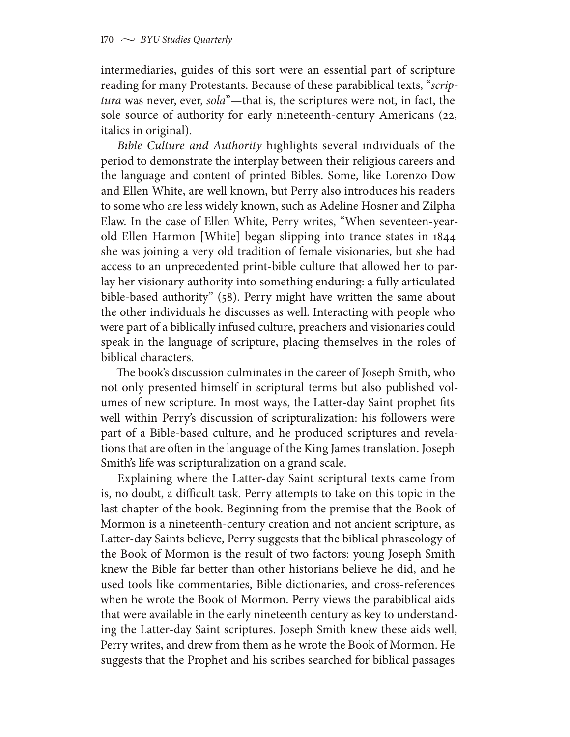intermediaries, guides of this sort were an essential part of scripture reading for many Protestants. Because of these parabiblical texts, "*scriptura* was never, ever, *sola*"—that is, the scriptures were not, in fact, the sole source of authority for early nineteenth-century Americans (22, italics in original).

*Bible Culture and Authority* highlights several individuals of the period to demonstrate the interplay between their religious careers and the language and content of printed Bibles. Some, like Lorenzo Dow and Ellen White, are well known, but Perry also introduces his readers to some who are less widely known, such as Adeline Hosner and Zilpha Elaw. In the case of Ellen White, Perry writes, "When seventeen-yearold Ellen Harmon [White] began slipping into trance states in 1844 she was joining a very old tradition of female visionaries, but she had access to an unprecedented print-bible culture that allowed her to parlay her visionary authority into something enduring: a fully articulated bible-based authority" (58). Perry might have written the same about the other individuals he discusses as well. Interacting with people who were part of a biblically infused culture, preachers and visionaries could speak in the language of scripture, placing themselves in the roles of biblical characters.

The book's discussion culminates in the career of Joseph Smith, who not only presented himself in scriptural terms but also published volumes of new scripture. In most ways, the Latter-day Saint prophet fits well within Perry's discussion of scripturalization: his followers were part of a Bible-based culture, and he produced scriptures and revelations that are often in the language of the King James translation. Joseph Smith's life was scripturalization on a grand scale.

Explaining where the Latter-day Saint scriptural texts came from is, no doubt, a difficult task. Perry attempts to take on this topic in the last chapter of the book. Beginning from the premise that the Book of Mormon is a nineteenth-century creation and not ancient scripture, as Latter-day Saints believe, Perry suggests that the biblical phraseology of the Book of Mormon is the result of two factors: young Joseph Smith knew the Bible far better than other historians believe he did, and he used tools like commentaries, Bible dictionaries, and cross-references when he wrote the Book of Mormon. Perry views the parabiblical aids that were available in the early nineteenth century as key to understanding the Latter-day Saint scriptures. Joseph Smith knew these aids well, Perry writes, and drew from them as he wrote the Book of Mormon. He suggests that the Prophet and his scribes searched for biblical passages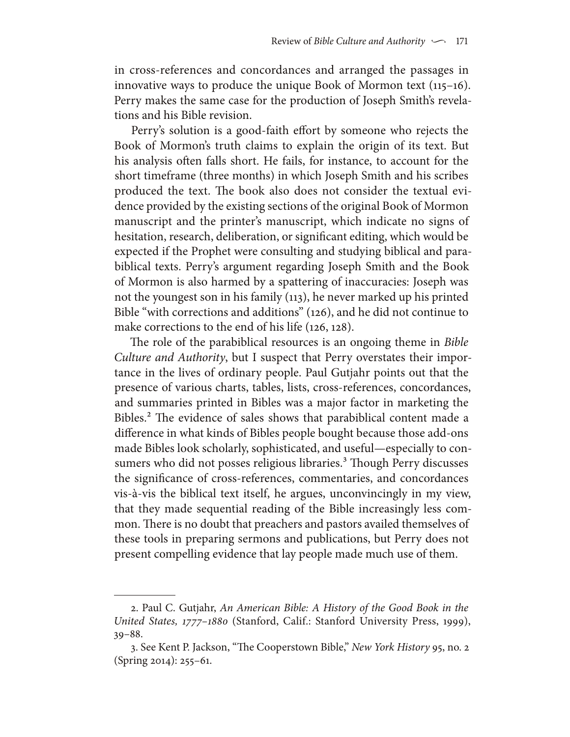in cross-references and concordances and arranged the passages in innovative ways to produce the unique Book of Mormon text (115–16). Perry makes the same case for the production of Joseph Smith's revelations and his Bible revision.

Perry's solution is a good-faith effort by someone who rejects the Book of Mormon's truth claims to explain the origin of its text. But his analysis often falls short. He fails, for instance, to account for the short timeframe (three months) in which Joseph Smith and his scribes produced the text. The book also does not consider the textual evidence provided by the existing sections of the original Book of Mormon manuscript and the printer's manuscript, which indicate no signs of hesitation, research, deliberation, or significant editing, which would be expected if the Prophet were consulting and studying biblical and parabiblical texts. Perry's argument regarding Joseph Smith and the Book of Mormon is also harmed by a spattering of inaccuracies: Joseph was not the youngest son in his family (113), he never marked up his printed Bible "with corrections and additions" (126), and he did not continue to make corrections to the end of his life (126, 128).

The role of the parabiblical resources is an ongoing theme in *Bible Culture and Authority*, but I suspect that Perry overstates their importance in the lives of ordinary people. Paul Gutjahr points out that the presence of various charts, tables, lists, cross-references, concordances, and summaries printed in Bibles was a major factor in marketing the Bibles.2 The evidence of sales shows that parabiblical content made a difference in what kinds of Bibles people bought because those add-ons made Bibles look scholarly, sophisticated, and useful—especially to consumers who did not posses religious libraries.<sup>3</sup> Though Perry discusses the significance of cross-references, commentaries, and concordances vis-à-vis the biblical text itself, he argues, unconvincingly in my view, that they made sequential reading of the Bible increasingly less common. There is no doubt that preachers and pastors availed themselves of these tools in preparing sermons and publications, but Perry does not present compelling evidence that lay people made much use of them.

<sup>2.</sup> Paul C. Gutjahr, *An American Bible: A History of the Good Book in the United States, 1777–1880* (Stanford, Calif.: Stanford University Press, 1999), 39–88.

<sup>3.</sup> See Kent P. Jackson, "The Cooperstown Bible," *New York History* 95, no. 2 (Spring 2014): 255–61.